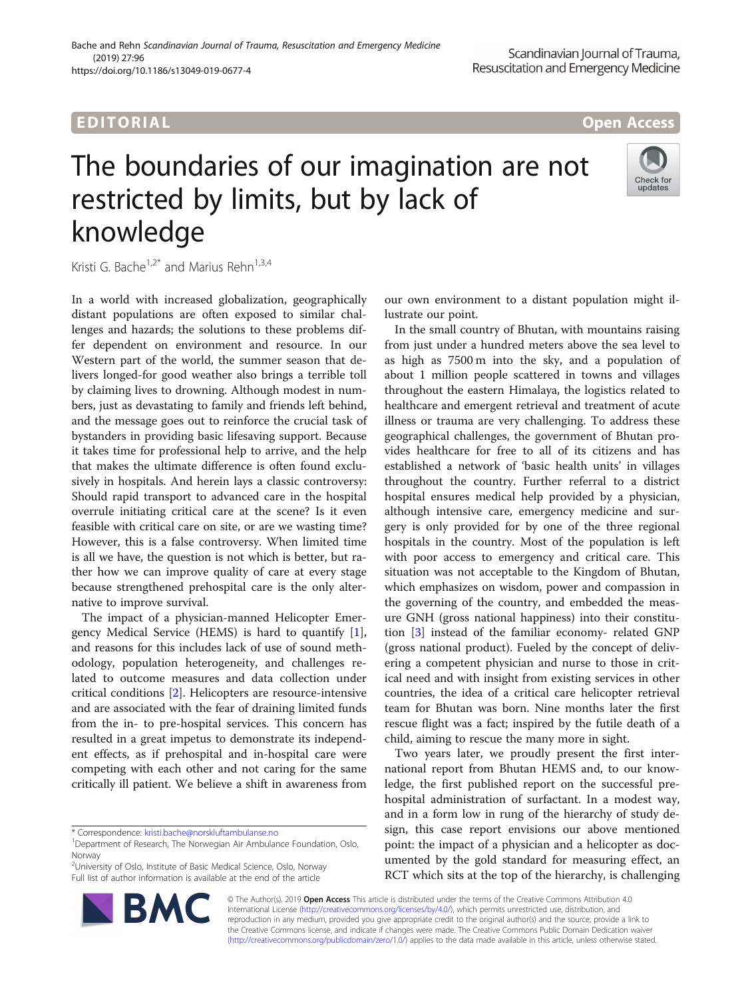### Bache and Rehn Scandinavian Journal of Trauma, Resuscitation and Emergency Medicine (2019) 27:96 https://doi.org/10.1186/s13049-019-0677-4

## EDI TORIA L Open Access

# The boundaries of our imagination are not restricted by limits, but by lack of knowledge



Kristi G. Bache<sup>1,2\*</sup> and Marius Rehn<sup>1,3,4</sup>

In a world with increased globalization, geographically distant populations are often exposed to similar challenges and hazards; the solutions to these problems differ dependent on environment and resource. In our Western part of the world, the summer season that delivers longed-for good weather also brings a terrible toll by claiming lives to drowning. Although modest in numbers, just as devastating to family and friends left behind, and the message goes out to reinforce the crucial task of bystanders in providing basic lifesaving support. Because it takes time for professional help to arrive, and the help that makes the ultimate difference is often found exclusively in hospitals. And herein lays a classic controversy: Should rapid transport to advanced care in the hospital overrule initiating critical care at the scene? Is it even feasible with critical care on site, or are we wasting time? However, this is a false controversy. When limited time is all we have, the question is not which is better, but rather how we can improve quality of care at every stage because strengthened prehospital care is the only alternative to improve survival.

The impact of a physician-manned Helicopter Emergency Medical Service (HEMS) is hard to quantify [\[1](#page-1-0)], and reasons for this includes lack of use of sound methodology, population heterogeneity, and challenges related to outcome measures and data collection under critical conditions [[2\]](#page-1-0). Helicopters are resource-intensive and are associated with the fear of draining limited funds from the in- to pre-hospital services. This concern has resulted in a great impetus to demonstrate its independent effects, as if prehospital and in-hospital care were competing with each other and not caring for the same critically ill patient. We believe a shift in awareness from

<sup>2</sup>University of Oslo, Institute of Basic Medical Science, Oslo, Norway Full list of author information is available at the end of the article



In the small country of Bhutan, with mountains raising from just under a hundred meters above the sea level to as high as 7500 m into the sky, and a population of about 1 million people scattered in towns and villages throughout the eastern Himalaya, the logistics related to healthcare and emergent retrieval and treatment of acute illness or trauma are very challenging. To address these geographical challenges, the government of Bhutan provides healthcare for free to all of its citizens and has established a network of 'basic health units' in villages throughout the country. Further referral to a district hospital ensures medical help provided by a physician, although intensive care, emergency medicine and surgery is only provided for by one of the three regional hospitals in the country. Most of the population is left with poor access to emergency and critical care. This situation was not acceptable to the Kingdom of Bhutan, which emphasizes on wisdom, power and compassion in the governing of the country, and embedded the measure GNH (gross national happiness) into their constitution [[3\]](#page-1-0) instead of the familiar economy- related GNP (gross national product). Fueled by the concept of delivering a competent physician and nurse to those in critical need and with insight from existing services in other countries, the idea of a critical care helicopter retrieval team for Bhutan was born. Nine months later the first rescue flight was a fact; inspired by the futile death of a child, aiming to rescue the many more in sight.

Two years later, we proudly present the first international report from Bhutan HEMS and, to our knowledge, the first published report on the successful prehospital administration of surfactant. In a modest way, and in a form low in rung of the hierarchy of study design, this case report envisions our above mentioned point: the impact of a physician and a helicopter as documented by the gold standard for measuring effect, an RCT which sits at the top of the hierarchy, is challenging



© The Author(s). 2019 Open Access This article is distributed under the terms of the Creative Commons Attribution 4.0 International License [\(http://creativecommons.org/licenses/by/4.0/](http://creativecommons.org/licenses/by/4.0/)), which permits unrestricted use, distribution, and reproduction in any medium, provided you give appropriate credit to the original author(s) and the source, provide a link to the Creative Commons license, and indicate if changes were made. The Creative Commons Public Domain Dedication waiver [\(http://creativecommons.org/publicdomain/zero/1.0/](http://creativecommons.org/publicdomain/zero/1.0/)) applies to the data made available in this article, unless otherwise stated.

<sup>\*</sup> Correspondence: [kristi.bache@norskluftambulanse.no](mailto:kristi.bache@norskluftambulanse.no) <sup>1</sup>

<sup>&</sup>lt;sup>1</sup>Department of Research, The Norwegian Air Ambulance Foundation, Oslo, Norway